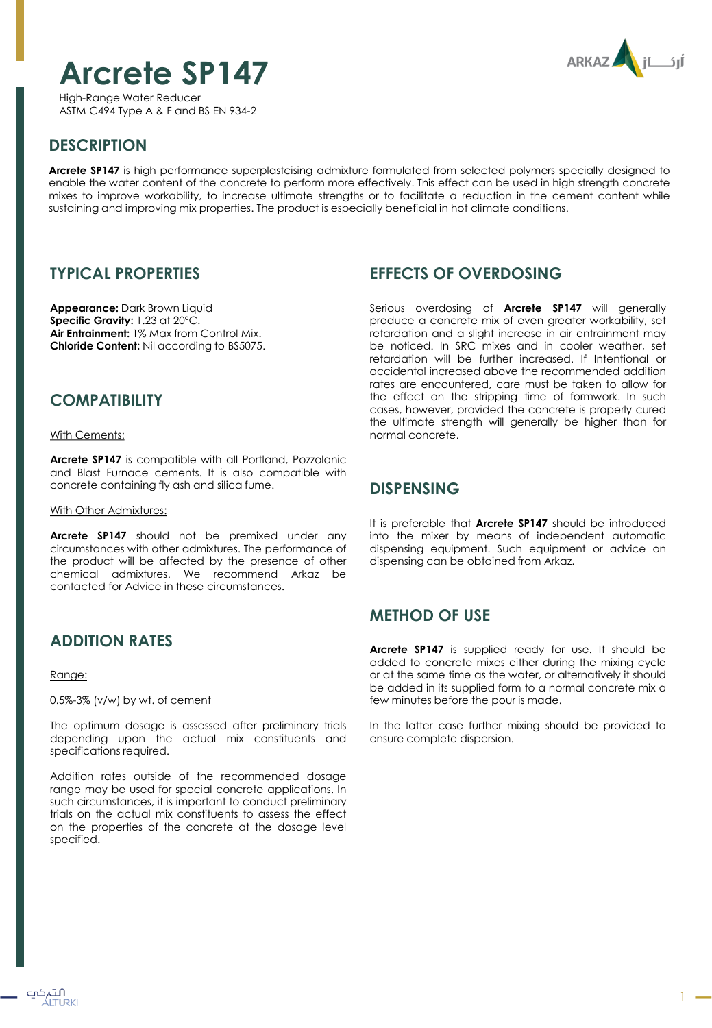# **Arcrete SP147**

**ARKAZ** 

High-Range Water Reducer ASTM C494 Type A & F and BS EN 934-2

# **DESCRIPTION**

**Arcrete SP147** is high performance superplastcising admixture formulated from selected polymers specially designed to enable the water content of the concrete to perform more effectively. This effect can be used in high strength concrete mixes to improve workability, to increase ultimate strenaths or to facilitate a reduction in the cement content while sustaining and improving mix properties. The product is especially beneficial in hot climate conditions.

### **TYPICAL PROPERTIES**

**Appearance:** Dark Brown Liquid **Specific Gravity:** 1.23 at 20ºC. **Air Entrainment:** 1% Max from Control Mix. **Chloride Content:** Nil according to BS5075.

### **COMPATIBILITY**

With Cements:

**Arcrete SP147** is compatible with all Portland, Pozzolanic and Blast Furnace cements. It is also compatible with concrete containing fly ash and silica fume.

With Other Admixtures:

**Arcrete SP147** should not be premixed under any circumstances with other admixtures. The performance of the product will be affected by the presence of other chemical admixtures. We recommend Arkaz be contacted for Advice in these circumstances.

### **ADDITION RATES**

Range:

0.5%-3% (v/w) by wt. of cement

The optimum dosage is assessed after preliminary trials depending upon the actual mix constituents and specifications required.

Addition rates outside of the recommended dosage range may be used for special concrete applications. In such circumstances, it is important to conduct preliminary trials on the actual mix constituents to assess the effect on the properties of the concrete at the dosage level specified.

#### **EFFECTS OF OVERDOSING**

Serious overdosing of **Arcrete SP147** will generally produce a concrete mix of even greater workability, set retardation and a slight increase in air entrainment may be noticed. In SRC mixes and in cooler weather, set retardation will be further increased. If Intentional or accidental increased above the recommended addition rates are encountered, care must be taken to allow for the effect on the stripping time of formwork. In such cases, however, provided the concrete is properly cured the ultimate strength will generally be higher than for normal concrete.

#### **DISPENSING**

It is preferable that **Arcrete SP147** should be introduced into the mixer by means of independent automatic dispensing equipment. Such equipment or advice on dispensing can be obtained from Arkaz.

### **METHOD OF USE**

**Arcrete SP147** is supplied ready for use. It should be added to concrete mixes either during the mixing cycle or at the same time as the water, or alternatively it should be added in its supplied form to a normal concrete mix a few minutes before the pour is made.

In the latter case further mixing should be provided to ensure complete dispersion.